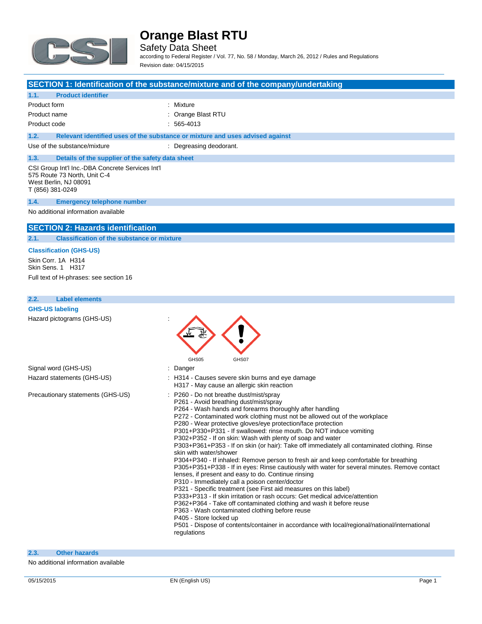

Safety Data Sheet according to Federal Register / Vol. 77, No. 58 / Monday, March 26, 2012 / Rules and Regulations

Revision date: 04/15/2015

### **SECTION 1: Identification of the substance/mixture and of the company/undertaking**

### **1.1. Product identifier**

| Product form | : Mixture          |
|--------------|--------------------|
| Product name | : Orange Blast RTU |
|              |                    |

Product code : 565-4013

**1.2. Relevant identified uses of the substance or mixture and uses advised against**

Use of the substance/mixture : Degreasing deodorant.

## **1.3. Details of the supplier of the safety data sheet**

CSI Group Int'l Inc.-DBA Concrete Services Int'l 575 Route 73 North, Unit C-4 West Berlin, NJ 08091 T (856) 381-0249

### **1.4. Emergency telephone number**

No additional information available

### **SECTION 2: Hazards identification**

**2.1. Classification of the substance or mixture**

### **Classification (GHS-US)**

Skin Corr. 1A H314 Skin Sens. 1 H317 Full text of H-phrases: see section 16

### **2.2. Label elements**

| <b>GHS-US labeling</b>            |                                                                                                                                                                                                                                                                                                                                                                                                                                                                                                                                                                                                                                                                                                                                                                                                                                                                                                                                                                                                                                                                                                                                                                                                                                                                                   |
|-----------------------------------|-----------------------------------------------------------------------------------------------------------------------------------------------------------------------------------------------------------------------------------------------------------------------------------------------------------------------------------------------------------------------------------------------------------------------------------------------------------------------------------------------------------------------------------------------------------------------------------------------------------------------------------------------------------------------------------------------------------------------------------------------------------------------------------------------------------------------------------------------------------------------------------------------------------------------------------------------------------------------------------------------------------------------------------------------------------------------------------------------------------------------------------------------------------------------------------------------------------------------------------------------------------------------------------|
| Hazard pictograms (GHS-US)        |                                                                                                                                                                                                                                                                                                                                                                                                                                                                                                                                                                                                                                                                                                                                                                                                                                                                                                                                                                                                                                                                                                                                                                                                                                                                                   |
| Signal word (GHS-US)              | GHS05<br>GHS07<br>: Danger                                                                                                                                                                                                                                                                                                                                                                                                                                                                                                                                                                                                                                                                                                                                                                                                                                                                                                                                                                                                                                                                                                                                                                                                                                                        |
| Hazard statements (GHS-US)        | : H314 - Causes severe skin burns and eye damage<br>H317 - May cause an allergic skin reaction                                                                                                                                                                                                                                                                                                                                                                                                                                                                                                                                                                                                                                                                                                                                                                                                                                                                                                                                                                                                                                                                                                                                                                                    |
| Precautionary statements (GHS-US) | : P260 - Do not breathe dust/mist/spray<br>P261 - Avoid breathing dust/mist/spray<br>P264 - Wash hands and forearms thoroughly after handling<br>P272 - Contaminated work clothing must not be allowed out of the workplace<br>P280 - Wear protective gloves/eye protection/face protection<br>P301+P330+P331 - If swallowed: rinse mouth. Do NOT induce vomiting<br>P302+P352 - If on skin: Wash with plenty of soap and water<br>P303+P361+P353 - If on skin (or hair): Take off immediately all contaminated clothing. Rinse<br>skin with water/shower<br>P304+P340 - If inhaled: Remove person to fresh air and keep comfortable for breathing<br>P305+P351+P338 - If in eyes: Rinse cautiously with water for several minutes. Remove contact<br>lenses, if present and easy to do. Continue rinsing<br>P310 - Immediately call a poison center/doctor<br>P321 - Specific treatment (see First aid measures on this label)<br>P333+P313 - If skin irritation or rash occurs: Get medical advice/attention<br>P362+P364 - Take off contaminated clothing and wash it before reuse<br>P363 - Wash contaminated clothing before reuse<br>P405 - Store locked up<br>P501 - Dispose of contents/container in accordance with local/regional/national/international<br>regulations |

### **2.3. Other hazards**

No additional information available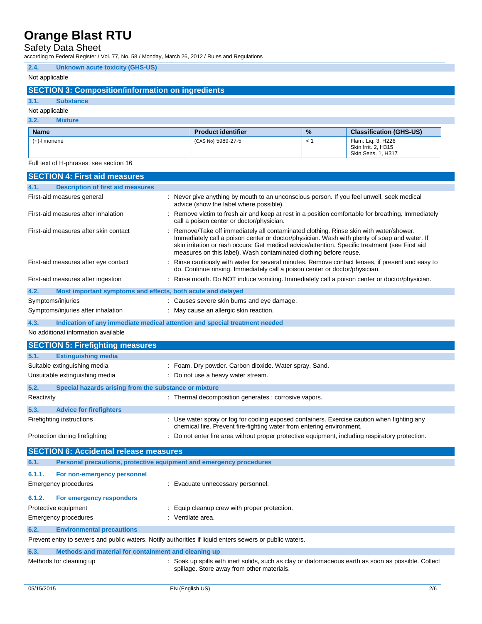Safety Data Sheet

according to Federal Register / Vol. 77, No. 58 / Monday, March 26, 2012 / Rules and Regulations

### **2.4. Unknown acute toxicity (GHS-US)**

### Not applicable

### **SECTION 3: Composition/information on ingredients**

### **3.1. Substance**

#### Not applicable **3.2. Mixture**

| 5.4.<br><u>MIXULE</u> |                           |               |                                                                 |
|-----------------------|---------------------------|---------------|-----------------------------------------------------------------|
| <b>Name</b>           | <b>Product identifier</b> | $\frac{9}{6}$ | <b>Classification (GHS-US)</b>                                  |
| (+)-limonene          | (CAS No) 5989-27-5        |               | Flam. Liq. 3, H226<br>Skin Irrit. 2, H315<br>Skin Sens. 1, H317 |

### Full text of H-phrases: see section 16

|                   | <b>SECTION 4: First aid measures</b>                        |                                                                                                                                                                                                                                                                                                                                                                |
|-------------------|-------------------------------------------------------------|----------------------------------------------------------------------------------------------------------------------------------------------------------------------------------------------------------------------------------------------------------------------------------------------------------------------------------------------------------------|
| 4.1.              | <b>Description of first aid measures</b>                    |                                                                                                                                                                                                                                                                                                                                                                |
|                   | First-aid measures general                                  | : Never give anything by mouth to an unconscious person. If you feel unwell, seek medical<br>advice (show the label where possible).                                                                                                                                                                                                                           |
|                   | First-aid measures after inhalation                         | : Remove victim to fresh air and keep at rest in a position comfortable for breathing. Immediately<br>call a poison center or doctor/physician.                                                                                                                                                                                                                |
|                   | First-aid measures after skin contact                       | : Remove/Take off immediately all contaminated clothing. Rinse skin with water/shower.<br>Immediately call a poison center or doctor/physician. Wash with plenty of soap and water. If<br>skin irritation or rash occurs: Get medical advice/attention. Specific treatment (see First aid<br>measures on this label). Wash contaminated clothing before reuse. |
|                   | First-aid measures after eye contact                        | : Rinse cautiously with water for several minutes. Remove contact lenses, if present and easy to<br>do. Continue rinsing. Immediately call a poison center or doctor/physician.                                                                                                                                                                                |
|                   | First-aid measures after ingestion                          | : Rinse mouth. Do NOT induce vomiting. Immediately call a poison center or doctor/physician.                                                                                                                                                                                                                                                                   |
| 4.2.              | Most important symptoms and effects, both acute and delayed |                                                                                                                                                                                                                                                                                                                                                                |
| Symptoms/injuries |                                                             | : Causes severe skin burns and eye damage.                                                                                                                                                                                                                                                                                                                     |
|                   | Symptoms/injuries after inhalation                          | : May cause an allergic skin reaction.                                                                                                                                                                                                                                                                                                                         |
| 4.3.              |                                                             | Indication of any immediate medical attention and special treatment needed                                                                                                                                                                                                                                                                                     |
|                   | No additional information available                         |                                                                                                                                                                                                                                                                                                                                                                |
|                   | <b>SECTION 5: Firefighting measures</b>                     |                                                                                                                                                                                                                                                                                                                                                                |
| 5.1.              | <b>Extinguishing media</b>                                  |                                                                                                                                                                                                                                                                                                                                                                |
|                   | Suitable extinguishing media                                | : Foam. Dry powder. Carbon dioxide. Water spray. Sand.                                                                                                                                                                                                                                                                                                         |
|                   | Unsuitable extinguishing media                              | : Do not use a heavy water stream.                                                                                                                                                                                                                                                                                                                             |
| 5.2.              | Special hazards arising from the substance or mixture       |                                                                                                                                                                                                                                                                                                                                                                |
| Reactivity        |                                                             | : Thermal decomposition generates : corrosive vapors.                                                                                                                                                                                                                                                                                                          |

| Reactivity |                                | : Thermal decomposition generates : corrosive vapors.                                                                                                                |
|------------|--------------------------------|----------------------------------------------------------------------------------------------------------------------------------------------------------------------|
| 5.3.       | <b>Advice for firefighters</b> |                                                                                                                                                                      |
|            | Firefighting instructions      | : Use water spray or fog for cooling exposed containers. Exercise caution when fighting any<br>chemical fire. Prevent fire-fighting water from entering environment. |

Protection during firefighting : Do not enter fire area without proper protective equipment, including respiratory protection.

|                                                                                                         | <b>SECTION 6: Accidental release measures</b>                       |                                              |  |
|---------------------------------------------------------------------------------------------------------|---------------------------------------------------------------------|----------------------------------------------|--|
| 6.1.                                                                                                    | Personal precautions, protective equipment and emergency procedures |                                              |  |
| 6.1.1.                                                                                                  | For non-emergency personnel                                         |                                              |  |
|                                                                                                         | Emergency procedures                                                | : Evacuate unnecessary personnel.            |  |
| 6.1.2.                                                                                                  | For emergency responders                                            |                                              |  |
|                                                                                                         | Protective equipment                                                | : Equip cleanup crew with proper protection. |  |
|                                                                                                         | Emergency procedures                                                | : Ventilate area.                            |  |
| 6.2.                                                                                                    | <b>Environmental precautions</b>                                    |                                              |  |
| Prevent entry to sewers and public waters. Notify authorities if liquid enters sewers or public waters. |                                                                     |                                              |  |
| 6.3.                                                                                                    | Methods and material for containment and cleaning up                |                                              |  |
|                                                                                                         |                                                                     |                                              |  |

Methods for cleaning up : Soak up spills with inert solids, such as clay or diatomaceous earth as soon as possible. Collect spillage. Store away from other materials.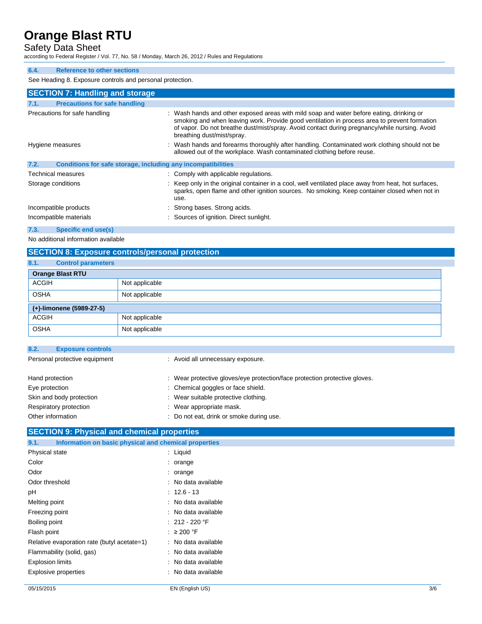## Safety Data Sheet

according to Federal Register / Vol. 77, No. 58 / Monday, March 26, 2012 / Rules and Regulations

### **6.4. Reference to other sections**

See Heading 8. Exposure controls and personal protection.

|      | <b>SECTION 7: Handling and storage</b>                       |                                                                                                                                                                                                                                                                                                                         |
|------|--------------------------------------------------------------|-------------------------------------------------------------------------------------------------------------------------------------------------------------------------------------------------------------------------------------------------------------------------------------------------------------------------|
| 7.1. | <b>Precautions for safe handling</b>                         |                                                                                                                                                                                                                                                                                                                         |
|      | Precautions for safe handling                                | : Wash hands and other exposed areas with mild soap and water before eating, drinking or<br>smoking and when leaving work. Provide good ventilation in process area to prevent formation<br>of vapor. Do not breathe dust/mist/spray. Avoid contact during pregnancy/while nursing. Avoid<br>breathing dust/mist/spray. |
|      | Hygiene measures                                             | : Wash hands and forearms thoroughly after handling. Contaminated work clothing should not be<br>allowed out of the workplace. Wash contaminated clothing before reuse.                                                                                                                                                 |
| 7.2. | Conditions for safe storage, including any incompatibilities |                                                                                                                                                                                                                                                                                                                         |
|      | Technical measures                                           | : Comply with applicable regulations.                                                                                                                                                                                                                                                                                   |
|      | Storage conditions                                           | : Keep only in the original container in a cool, well ventilated place away from heat, hot surfaces,<br>sparks, open flame and other ignition sources. No smoking. Keep container closed when not in<br>use.                                                                                                            |
|      | Incompatible products                                        | : Strong bases. Strong acids.                                                                                                                                                                                                                                                                                           |
|      | Incompatible materials                                       | : Sources of ignition. Direct sunlight.                                                                                                                                                                                                                                                                                 |
| 7.3. | <b>Specific end use(s)</b>                                   |                                                                                                                                                                                                                                                                                                                         |

No additional information available

### **SECTION 8: Exposure controls/personal protection**

| 8.1.         | <b>Control parameters</b> |                |
|--------------|---------------------------|----------------|
|              | <b>Orange Blast RTU</b>   |                |
| <b>ACGIH</b> |                           | Not applicable |
| <b>OSHA</b>  |                           | Not applicable |
|              | (+)-limonene (5989-27-5)  |                |
| <b>ACGIH</b> |                           | Not applicable |
| <b>OSHA</b>  |                           | Not applicable |

| : Wear protective gloves/eye protection/face protection protective gloves. |
|----------------------------------------------------------------------------|
|                                                                            |
|                                                                            |
|                                                                            |
|                                                                            |
|                                                                            |

### **SECTION 9: Physical and chemical properties**

| Information on basic physical and chemical properties<br>9.1. |                     |
|---------------------------------------------------------------|---------------------|
| Physical state                                                | $:$ Liquid          |
| Color                                                         | $:$ orange          |
| Odor                                                          | $:$ orange          |
| Odor threshold                                                | : No data available |
| рH                                                            | $: 12.6 - 13$       |
| Melting point                                                 | : No data available |
| Freezing point                                                | : No data available |
| Boiling point                                                 | $: 212 - 220$ °F    |
| Flash point                                                   | : $\geq 200$ °F     |
| Relative evaporation rate (butyl acetate=1)                   | : No data available |
| Flammability (solid, gas)                                     | : No data available |
| <b>Explosion limits</b>                                       | : No data available |
| Explosive properties                                          | : No data available |
|                                                               |                     |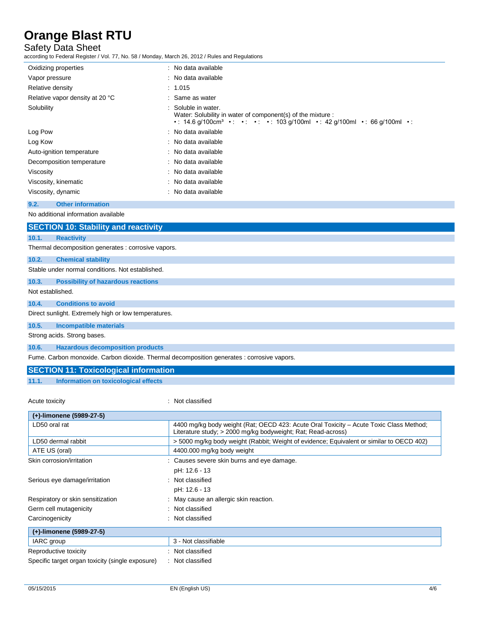## Safety Data Sheet

according to Federal Register / Vol. 77, No. 58 / Monday, March 26, 2012 / Rules and Regulations

| Oxidizing properties            | : No data available                                                                                                                                                   |
|---------------------------------|-----------------------------------------------------------------------------------------------------------------------------------------------------------------------|
| Vapor pressure                  | : No data available                                                                                                                                                   |
| Relative density                | : 1.015                                                                                                                                                               |
| Relative vapor density at 20 °C | : Same as water                                                                                                                                                       |
| Solubility                      | : Soluble in water.<br>Water: Solubility in water of component(s) of the mixture :<br>• 14.6 g/100cm <sup>3</sup> • • • • • 103 g/100ml • 42 g/100ml • 66 g/100ml • • |
| Log Pow                         | : No data available                                                                                                                                                   |
| Log Kow                         | : No data available                                                                                                                                                   |
| Auto-ignition temperature       | : No data available                                                                                                                                                   |
| Decomposition temperature       | : No data available                                                                                                                                                   |
| Viscosity                       | : No data available                                                                                                                                                   |
| Viscosity, kinematic            | : No data available                                                                                                                                                   |
| Viscosity, dynamic              | : No data available                                                                                                                                                   |
|                                 |                                                                                                                                                                       |

### **9.2. Other information**

No additional information available

|                  | <b>SECTION 10: Stability and reactivity</b>                                                |
|------------------|--------------------------------------------------------------------------------------------|
| 10.1.            | <b>Reactivity</b>                                                                          |
|                  | Thermal decomposition generates : corrosive vapors.                                        |
| 10.2.            | <b>Chemical stability</b>                                                                  |
|                  | Stable under normal conditions. Not established.                                           |
| 10.3.            | <b>Possibility of hazardous reactions</b>                                                  |
| Not established. |                                                                                            |
| 10.4.            | <b>Conditions to avoid</b>                                                                 |
|                  | Direct sunlight. Extremely high or low temperatures.                                       |
| 10.5.            | Incompatible materials                                                                     |
|                  | Strong acids. Strong bases.                                                                |
| 10.6.            | <b>Hazardous decomposition products</b>                                                    |
|                  | Fume. Carbon monoxide. Carbon dioxide. Thermal decomposition generates : corrosive vapors. |

### **SECTION 11: Toxicological information**

**11.1. Information on toxicological effects**

Acute toxicity in the contract of the classified in the classified in the classified in the classified in the classified in the classified in the classified in the contract of the contract of the contract of the contract o

| (+)-limonene (5989-27-5)                         |                                                                                                                                                        |
|--------------------------------------------------|--------------------------------------------------------------------------------------------------------------------------------------------------------|
| LD50 oral rat                                    | 4400 mg/kg body weight (Rat; OECD 423: Acute Oral Toxicity – Acute Toxic Class Method;<br>Literature study; > 2000 mg/kg bodyweight; Rat; Read-across) |
| LD50 dermal rabbit                               | >5000 mg/kg body weight (Rabbit; Weight of evidence; Equivalent or similar to OECD 402)                                                                |
| ATE US (oral)                                    | 4400.000 mg/kg body weight                                                                                                                             |
| Skin corrosion/irritation                        | : Causes severe skin burns and eye damage.                                                                                                             |
|                                                  | pH: 12.6 - 13                                                                                                                                          |
| Serious eye damage/irritation                    | : Not classified                                                                                                                                       |
|                                                  | pH: 12.6 - 13                                                                                                                                          |
| Respiratory or skin sensitization                | : May cause an allergic skin reaction.                                                                                                                 |
| Germ cell mutagenicity                           | : Not classified                                                                                                                                       |
| Carcinogenicity                                  | : Not classified                                                                                                                                       |
| (+)-limonene (5989-27-5)                         |                                                                                                                                                        |
| IARC group                                       | 3 - Not classifiable                                                                                                                                   |
| Reproductive toxicity                            | Not classified                                                                                                                                         |
| Specific target organ toxicity (single exposure) | : Not classified                                                                                                                                       |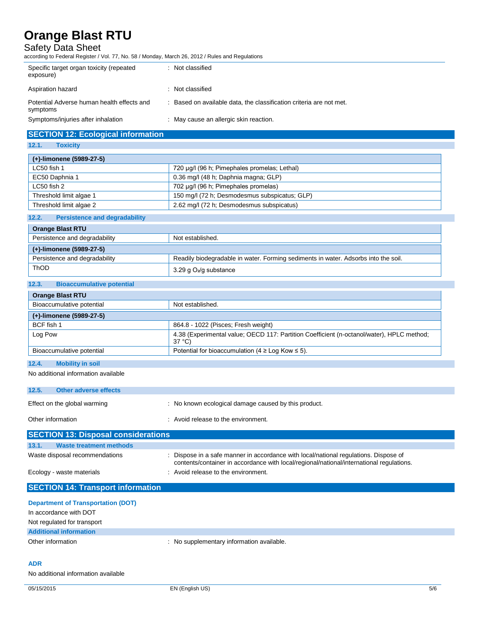### Safety Data Sheet

according to Federal Register / Vol. 77, No. 58 / Monday, March 26, 2012 / Rules and Regulations

| Specific target organ toxicity (repeated<br>exposure)  | : Not classified                                                    |
|--------------------------------------------------------|---------------------------------------------------------------------|
| Aspiration hazard                                      | : Not classified                                                    |
| Potential Adverse human health effects and<br>symptoms | : Based on available data, the classification criteria are not met. |
| Symptoms/injuries after inhalation                     | : May cause an allergic skin reaction.                              |

### **SECTION 12: Ecological information**

### **12.1. Toxicity**

| (+)-limonene (5989-27-5) |                                               |
|--------------------------|-----------------------------------------------|
| LC50 fish 1              | 720 µg/l (96 h; Pimephales promelas; Lethal)  |
| EC50 Daphnia 1           | 0.36 mg/l (48 h; Daphnia magna; GLP)          |
| LC50 fish 2              | 702 µg/l (96 h; Pimephales promelas)          |
| Threshold limit algae 1  | 150 mg/l (72 h; Desmodesmus subspicatus; GLP) |
| Threshold limit algae 2  | 2.62 mg/l (72 h; Desmodesmus subspicatus)     |
|                          |                                               |

### **12.2. Persistence and degradability**

| <b>Orange Blast RTU</b>       |                                                                                    |
|-------------------------------|------------------------------------------------------------------------------------|
| Persistence and degradability | Not established.                                                                   |
| (+)-limonene (5989-27-5)      |                                                                                    |
| Persistence and degradability | Readily biodegradable in water. Forming sediments in water. Adsorbs into the soil. |
| <b>ThOD</b>                   | 3.29 g $O_2$ /g substance                                                          |

### **12.3. Bioaccumulative potential**

| <b>Orange Blast RTU</b>                            |                                                                                                              |
|----------------------------------------------------|--------------------------------------------------------------------------------------------------------------|
| Bioaccumulative potential                          | Not established.                                                                                             |
| (+)-limonene (5989-27-5)                           |                                                                                                              |
| BCF fish 1                                         | 864.8 - 1022 (Pisces; Fresh weight)                                                                          |
| Log Pow                                            | 4.38 (Experimental value; OECD 117: Partition Coefficient (n-octanol/water), HPLC method;<br>$37^{\circ}$ C) |
| Bioaccumulative potential                          | Potential for bioaccumulation (4 $\geq$ Log Kow $\leq$ 5).                                                   |
| $\overline{AB}$<br><b>INVESTIGATION</b> CONTINUES. |                                                                                                              |

### **12.4. Mobility in soil**

No additional information available

| 12.5.<br><b>Other adverse effects</b>      |                                                                                                                                                                                  |  |  |
|--------------------------------------------|----------------------------------------------------------------------------------------------------------------------------------------------------------------------------------|--|--|
| Effect on the global warming               | : No known ecological damage caused by this product.                                                                                                                             |  |  |
| Other information                          | : Avoid release to the environment.                                                                                                                                              |  |  |
| <b>SECTION 13: Disposal considerations</b> |                                                                                                                                                                                  |  |  |
| 13.1.<br><b>Waste treatment methods</b>    |                                                                                                                                                                                  |  |  |
| Waste disposal recommendations             | : Dispose in a safe manner in accordance with local/national regulations. Dispose of<br>contents/container in accordance with local/regional/national/international regulations. |  |  |
| Ecology - waste materials                  | : Avoid release to the environment.                                                                                                                                              |  |  |

| <b>SECTION 14: Transport information</b>  |                                           |  |
|-------------------------------------------|-------------------------------------------|--|
| <b>Department of Transportation (DOT)</b> |                                           |  |
| In accordance with DOT                    |                                           |  |
| Not regulated for transport               |                                           |  |
| <b>Additional information</b>             |                                           |  |
| Other information                         | : No supplementary information available. |  |
|                                           |                                           |  |
|                                           |                                           |  |

### **ADR**

No additional information available